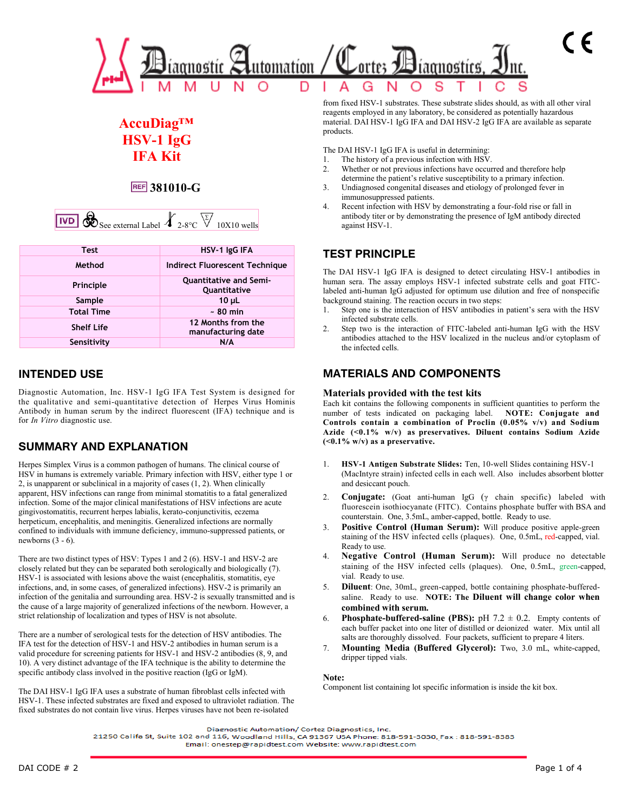

# **AccuDiag™ HSV-1 IgG IFA Kit**

## **381010-G**

|  | $\begin{array}{ c c c c c }\n\hline\n\text{1WD} & \text{See external Label} & \text{2-8°C} & \text{V} & \text{10X10} & \text{w}^{\text{in}}\n\end{array}$ |  |  |  |  |
|--|-----------------------------------------------------------------------------------------------------------------------------------------------------------|--|--|--|--|
|--|-----------------------------------------------------------------------------------------------------------------------------------------------------------|--|--|--|--|

| <b>Test</b>       | HSV-1 IgG IFA                                 |  |  |
|-------------------|-----------------------------------------------|--|--|
| Method            | Indirect Fluorescent Technique                |  |  |
| Principle         | <b>Quantitative and Semi-</b><br>Quantitative |  |  |
| Sample            | $10 \mu L$                                    |  |  |
| <b>Total Time</b> | $~50$ min                                     |  |  |
| <b>Shelf Life</b> | 12 Months from the<br>manufacturing date      |  |  |
| Sensitivity       | N/A                                           |  |  |

## **INTENDED USE**

Diagnostic Automation, Inc. HSV-1 IgG IFA Test System is designed for the qualitative and semi-quantitative detection of Herpes Virus Hominis Antibody in human serum by the indirect fluorescent (IFA) technique and is for *In Vitro* diagnostic use.

## **SUMMARY AND EXPLANATION**

Herpes Simplex Virus is a common pathogen of humans. The clinical course of HSV in humans is extremely variable. Primary infection with HSV, either type 1 or 2, is unapparent or subclinical in a majority of cases (1, 2). When clinically apparent, HSV infections can range from minimal stomatitis to a fatal generalized infection. Some of the major clinical manifestations of HSV infections are acute gingivostomatitis, recurrent herpes labialis, kerato-conjunctivitis, eczema herpeticum, encephalitis, and meningitis. Generalized infections are normally confined to individuals with immune deficiency, immuno-suppressed patients, or newborns  $(3 - 6)$ .

There are two distinct types of HSV: Types 1 and 2 (6). HSV-1 and HSV-2 are closely related but they can be separated both serologically and biologically (7). HSV-1 is associated with lesions above the waist (encephalitis, stomatitis, eye infections, and, in some cases, of generalized infections). HSV-2 is primarily an infection of the genitalia and surrounding area. HSV-2 is sexually transmitted and is the cause of a large majority of generalized infections of the newborn. However, a strict relationship of localization and types of HSV is not absolute.

There are a number of serological tests for the detection of HSV antibodies. The IFA test for the detection of HSV-1 and HSV-2 antibodies in human serum is a valid procedure for screening patients for HSV-1 and HSV-2 antibodies (8, 9, and 10). A very distinct advantage of the IFA technique is the ability to determine the specific antibody class involved in the positive reaction (IgG or IgM).

The DAI HSV-1 IgG IFA uses a substrate of human fibroblast cells infected with HSV-1. These infected substrates are fixed and exposed to ultraviolet radiation. The fixed substrates do not contain live virus. Herpes viruses have not been re-isolated

from fixed HSV-1 substrates. These substrate slides should, as with all other viral reagents employed in any laboratory, be considered as potentially hazardous material. DAI HSV-1 IgG IFA and DAI HSV-2 IgG IFA are available as separate products.

The DAI HSV-1 IgG IFA is useful in determining:

- 1. The history of a previous infection with HSV.
- 2. Whether or not previous infections have occurred and therefore help determine the patient's relative susceptibility to a primary infection.
- 3. Undiagnosed congenital diseases and etiology of prolonged fever in immunosuppressed patients.
- 4. Recent infection with HSV by demonstrating a four-fold rise or fall in antibody titer or by demonstrating the presence of IgM antibody directed against HSV-1.

## **TEST PRINCIPLE**

The DAI HSV-1 IgG IFA is designed to detect circulating HSV-1 antibodies in human sera. The assay employs HSV-1 infected substrate cells and goat FITClabeled anti-human IgG adjusted for optimum use dilution and free of nonspecific background staining. The reaction occurs in two steps:

- 1. Step one is the interaction of HSV antibodies in patient's sera with the HSV infected substrate cells.
- 2. Step two is the interaction of FITC-labeled anti-human IgG with the HSV antibodies attached to the HSV localized in the nucleus and/or cytoplasm of the infected cells.

#### **MATERIALS AND COMPONENTS**

#### **Materials provided with the test kits**

Each kit contains the following components in sufficient quantities to perform the number of tests indicated on packaging label. **NOTE: Conjugate and Controls contain a combination of Proclin (0.05% v/v) and Sodium Azide (<0.1% w/v) as preservatives. Diluent contains Sodium Azide (<0.1% w/v) as a preservative.**

- 1. **HSV-1 Antigen Substrate Slides:** Ten, 10-well Slides containing HSV-1 (MacIntyre strain) infected cells in each well. Also includes absorbent blotter and desiccant pouch.
- 2. **Conjugate:** (Goat anti-human IgG (γ chain specific) labeled with fluorescein isothiocyanate (FITC). Contains phosphate buffer with BSA and counterstain. One, 3.5mL, amber-capped, bottle. Ready to use.
- **Positive Control (Human Serum):** Will produce positive apple-green staining of the HSV infected cells (plaques). One, 0.5mL, red-capped, vial. Ready to use.
- 4. **Negative Control (Human Serum):** Will produce no detectable staining of the HSV infected cells (plaques). One, 0.5mL, green-capped, vial. Ready to use.
- 5. **Diluent**: One, 30mL, green-capped, bottle containing phosphate-bufferedsaline. Ready to use. **NOTE: The Diluent will change color when combined with serum.**
- 6. **Phosphate-buffered-saline (PBS):** pH  $7.2 \pm 0.2$ . Empty contents of each buffer packet into one liter of distilled or deionized water. Mix until all salts are thoroughly dissolved. Four packets, sufficient to prepare 4 liters.
- 7. **Mounting Media (Buffered Glycerol):** Two, 3.0 mL, white-capped, dripper tipped vials.

#### **Note:**

Component list containing lot specific information is inside the kit box.

21250 Califa St, Suite 102 and 116, Woodland Hills, CA 91367 USA Phone: 818-591-3030, Fax: 818-591-8383 Email: onestep@rapidtest.com Website: www.rapidtest.com

Diagnostic Automation/ Cortez Diagnostics, Inc.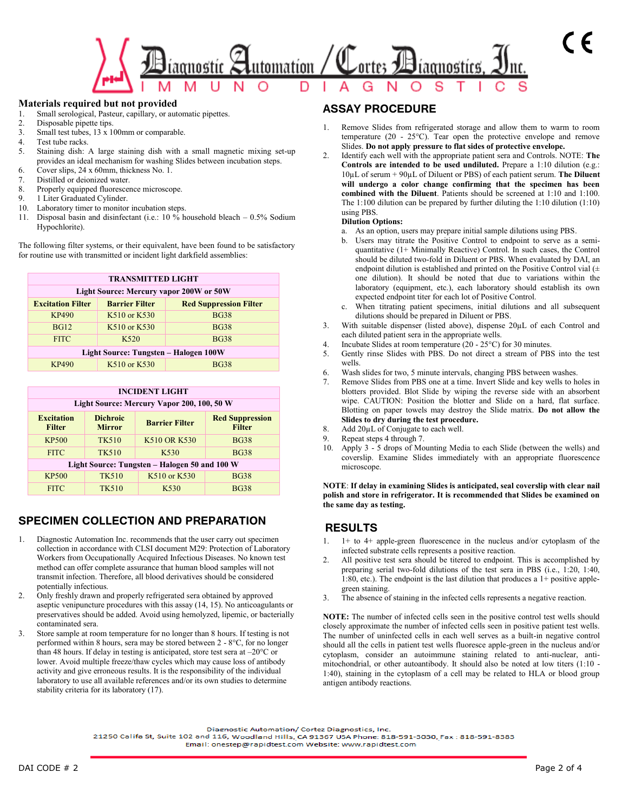

#### **Materials required but not provided**

- 1. Small serological, Pasteur, capillary, or automatic pipettes.
- 2. Disposable pipette tips.
- 3. Small test tubes, 13 x 100mm or comparable.
- 4. Test tube racks.
- 5. Staining dish: A large staining dish with a small magnetic mixing set-up provides an ideal mechanism for washing Slides between incubation steps.
- 6. Cover slips, 24 x 60mm, thickness No. 1.
- 7. Distilled or deionized water.
- 8. Properly equipped fluorescence microscope.
- 9. 1 Liter Graduated Cylinder.
- 10. Laboratory timer to monitor incubation steps.
- 11. Disposal basin and disinfectant (i.e.: 10 % household bleach 0.5% Sodium Hypochlorite).

The following filter systems, or their equivalent, have been found to be satisfactory for routine use with transmitted or incident light darkfield assemblies:

| <b>TRANSMITTED LIGHT</b>                       |                       |                               |  |
|------------------------------------------------|-----------------------|-------------------------------|--|
| <b>Light Source: Mercury vapor 200W or 50W</b> |                       |                               |  |
| <b>Excitation Filter</b>                       | <b>Barrier Filter</b> | <b>Red Suppression Filter</b> |  |
| <b>KP490</b>                                   | K510 or K530          | <b>BG38</b>                   |  |
| <b>BG12</b>                                    | K510 or K530          | <b>BG38</b>                   |  |
| <b>FITC</b>                                    | K <sub>520</sub>      | <b>BG38</b>                   |  |
| Light Source: Tungsten - Halogen 100W          |                       |                               |  |
| KP490                                          | K510 or K530          | <b>BG38</b>                   |  |

| <b>INCIDENT LIGHT</b>                         |                                  |                       |                                         |
|-----------------------------------------------|----------------------------------|-----------------------|-----------------------------------------|
| Light Source: Mercury Vapor 200, 100, 50 W    |                                  |                       |                                         |
| <b>Excitation</b><br><b>Filter</b>            | <b>Dichroic</b><br><b>Mirror</b> | <b>Barrier Filter</b> | <b>Red Suppression</b><br><b>Filter</b> |
| <b>KP500</b>                                  | <b>TK510</b>                     | K510 OR K530          | <b>BG38</b>                             |
| <b>FITC</b>                                   | <b>TK510</b>                     | K530                  | <b>BG38</b>                             |
| Light Source: Tungsten – Halogen 50 and 100 W |                                  |                       |                                         |
| <b>KP500</b>                                  | <b>TK510</b>                     | K510 or K530          | <b>BG38</b>                             |
| <b>FITC</b>                                   | TK510                            | K530                  | <b>BG38</b>                             |

#### **SPECIMEN COLLECTION AND PREPARATION**

- Diagnostic Automation Inc. recommends that the user carry out specimen collection in accordance with CLSI document M29: Protection of Laboratory Workers from Occupationally Acquired Infectious Diseases. No known test method can offer complete assurance that human blood samples will not transmit infection. Therefore, all blood derivatives should be considered potentially infectious.
- 2. Only freshly drawn and properly refrigerated sera obtained by approved aseptic venipuncture procedures with this assay (14, 15). No anticoagulants or preservatives should be added. Avoid using hemolyzed, lipemic, or bacterially contaminated sera.
- 3. Store sample at room temperature for no longer than 8 hours. If testing is not performed within 8 hours, sera may be stored between 2 - 8°C, for no longer than 48 hours. If delay in testing is anticipated, store test sera at –20°C or lower. Avoid multiple freeze/thaw cycles which may cause loss of antibody activity and give erroneous results. It is the responsibility of the individual laboratory to use all available references and/or its own studies to determine stability criteria for its laboratory (17).

#### **ASSAY PROCEDURE**

- Remove Slides from refrigerated storage and allow them to warm to room temperature (20 - 25°C). Tear open the protective envelope and remove Slides. **Do not apply pressure to flat sides of protective envelope.**
- 2. Identify each well with the appropriate patient sera and Controls. NOTE: **The Controls are intended to be used undiluted.** Prepare a 1:10 dilution (e.g.: 10µL of serum + 90µL of Diluent or PBS) of each patient serum. **The Diluent will undergo a color change confirming that the specimen has been combined with the Diluent**. Patients should be screened at 1:10 and 1:100. The 1:100 dilution can be prepared by further diluting the 1:10 dilution (1:10) using PBS.

#### **Dilution Options:**

- a. As an option, users may prepare initial sample dilutions using PBS.
- b. Users may titrate the Positive Control to endpoint to serve as a semiquantitative (1+ Minimally Reactive) Control. In such cases, the Control should be diluted two-fold in Diluent or PBS. When evaluated by DAI, an endpoint dilution is established and printed on the Positive Control vial  $(±)$ one dilution). It should be noted that due to variations within the laboratory (equipment, etc.), each laboratory should establish its own expected endpoint titer for each lot of Positive Control.
- c. When titrating patient specimens, initial dilutions and all subsequent dilutions should be prepared in Diluent or PBS.
- 3. With suitable dispenser (listed above), dispense  $20\mu$ L of each Control and each diluted patient sera in the appropriate wells.
- 4. Incubate Slides at room temperature (20 25°C) for 30 minutes.
- 5. Gently rinse Slides with PBS. Do not direct a stream of PBS into the test wells.
- 6. Wash slides for two, 5 minute intervals, changing PBS between washes.
- Remove Slides from PBS one at a time. Invert Slide and key wells to holes in blotters provided. Blot Slide by wiping the reverse side with an absorbent wipe. CAUTION: Position the blotter and Slide on a hard, flat surface. Blotting on paper towels may destroy the Slide matrix. **Do not allow the Slides to dry during the test procedure.**
- 8. Add 20µL of Conjugate to each well.
- 9. Repeat steps 4 through 7.
- 10. Apply 3 5 drops of Mounting Media to each Slide (between the wells) and coverslip. Examine Slides immediately with an appropriate fluorescence microscope.

**NOTE**: **If delay in examining Slides is anticipated, seal coverslip with clear nail polish and store in refrigerator. It is recommended that Slides be examined on the same day as testing.**

# **RESULTS**<br>1. 1+ to 4+ a

- 1. 1+ to 4+ apple-green fluorescence in the nucleus and/or cytoplasm of the infected substrate cells represents a positive reaction.
- 2. All positive test sera should be titered to endpoint. This is accomplished by preparing serial two-fold dilutions of the test sera in PBS (i.e., 1:20, 1:40, 1:80, etc.). The endpoint is the last dilution that produces a 1+ positive applegreen staining.
- 3. The absence of staining in the infected cells represents a negative reaction.

**NOTE:** The number of infected cells seen in the positive control test wells should closely approximate the number of infected cells seen in positive patient test wells. The number of uninfected cells in each well serves as a built-in negative control should all the cells in patient test wells fluoresce apple-green in the nucleus and/or cytoplasm, consider an autoimmune staining related to anti-nuclear, antimitochondrial, or other autoantibody. It should also be noted at low titers (1:10 - 1:40), staining in the cytoplasm of a cell may be related to HLA or blood group antigen antibody reactions.

Diagnostic Automation/ Cortez Diagnostics, Inc.

21250 Califa St, Suite 102 and 116, Woodland Hills, CA 91367 USA Phone: 818-591-3030, Fax: 818-591-8383 Email: onestep@rapidtest.com Website: www.rapidtest.com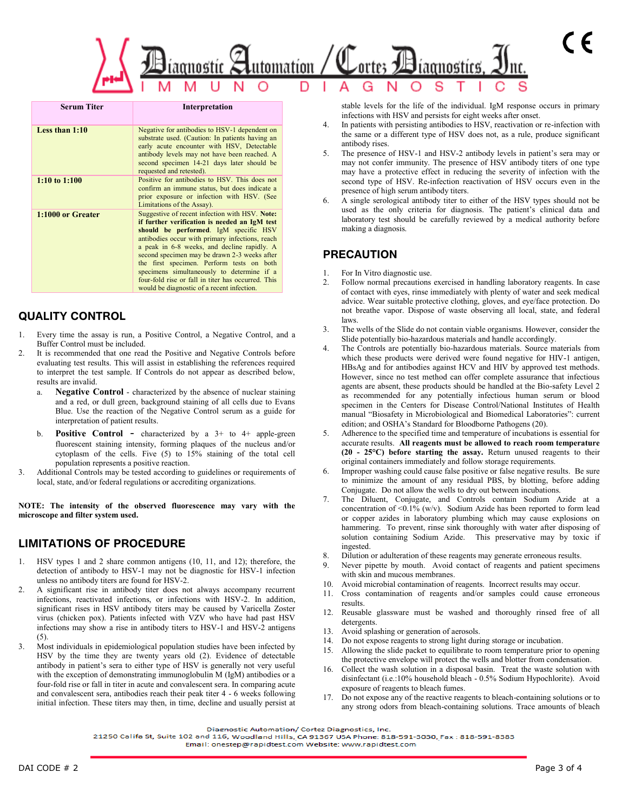

| <b>Serum Titer</b> | Interpretation                                                                                                                                                                                                                                                                                                                                                                                                                                                                            |
|--------------------|-------------------------------------------------------------------------------------------------------------------------------------------------------------------------------------------------------------------------------------------------------------------------------------------------------------------------------------------------------------------------------------------------------------------------------------------------------------------------------------------|
| Less than $1:10$   | Negative for antibodies to HSV-1 dependent on<br>substrate used. (Caution: In patients having an<br>early acute encounter with HSV, Detectable<br>antibody levels may not have been reached. A<br>second specimen 14-21 days later should be<br>requested and retested).                                                                                                                                                                                                                  |
| 1:10 to $1:100$    | Positive for antibodies to HSV. This does not<br>confirm an immune status, but does indicate a<br>prior exposure or infection with HSV. (See<br>Limitations of the Assay).                                                                                                                                                                                                                                                                                                                |
| 1:1000 or Greater  | Suggestive of recent infection with HSV. Note:<br>if further verification is needed an IgM test<br>should be performed. IgM specific HSV<br>antibodies occur with primary infections, reach<br>a peak in 6-8 weeks, and decline rapidly. A<br>second specimen may be drawn 2-3 weeks after<br>the first specimen. Perform tests on both<br>specimens simultaneously to determine if a<br>four-fold rise or fall in titer has occurred. This<br>would be diagnostic of a recent infection. |

## **QUALITY CONTROL**

- Every time the assay is run, a Positive Control, a Negative Control, and a Buffer Control must be included.
- It is recommended that one read the Positive and Negative Controls before evaluating test results. This will assist in establishing the references required to interpret the test sample. If Controls do not appear as described below, results are invalid.
	- a. **Negative Control** characterized by the absence of nuclear staining and a red, or dull green, background staining of all cells due to Evans Blue. Use the reaction of the Negative Control serum as a guide for interpretation of patient results.
	- b. **Positive Control** characterized by a 3+ to 4+ apple-green fluorescent staining intensity, forming plaques of the nucleus and/or cytoplasm of the cells. Five (5) to 15% staining of the total cell population represents a positive reaction.
- 3. Additional Controls may be tested according to guidelines or requirements of local, state, and/or federal regulations or accrediting organizations.

**NOTE: The intensity of the observed fluorescence may vary with the microscope and filter system used.** 

## **LIMITATIONS OF PROCEDURE**

- 1. HSV types 1 and 2 share common antigens (10, 11, and 12); therefore, the detection of antibody to HSV-1 may not be diagnostic for HSV-1 infection unless no antibody titers are found for HSV-2.
- 2. A significant rise in antibody titer does not always accompany recurrent infections, reactivated infections, or infections with HSV-2. In addition, significant rises in HSV antibody titers may be caused by Varicella Zoster virus (chicken pox). Patients infected with VZV who have had past HSV infections may show a rise in antibody titers to HSV-1 and HSV-2 antigens (5).
- 3. Most individuals in epidemiological population studies have been infected by HSV by the time they are twenty years old (2). Evidence of detectable antibody in patient's sera to either type of HSV is generally not very useful with the exception of demonstrating immunoglobulin M (IgM) antibodies or a four-fold rise or fall in titer in acute and convalescent sera. In comparing acute and convalescent sera, antibodies reach their peak titer 4 - 6 weeks following initial infection. These titers may then, in time, decline and usually persist at

stable levels for the life of the individual. IgM response occurs in primary infections with HSV and persists for eight weeks after onset.

- 4. In patients with persisting antibodies to HSV, reactivation or re-infection with the same or a different type of HSV does not, as a rule, produce significant antibody rises.
- 5. The presence of HSV-1 and HSV-2 antibody levels in patient's sera may or may not confer immunity. The presence of HSV antibody titers of one type may have a protective effect in reducing the severity of infection with the second type of HSV. Re-infection reactivation of HSV occurs even in the presence of high serum antibody titers.
- 6. A single serological antibody titer to either of the HSV types should not be used as the only criteria for diagnosis. The patient's clinical data and laboratory test should be carefully reviewed by a medical authority before making a diagnosis.

#### **PRECAUTION**

- For In Vitro diagnostic use.
- 2. Follow normal precautions exercised in handling laboratory reagents. In case of contact with eyes, rinse immediately with plenty of water and seek medical advice. Wear suitable protective clothing, gloves, and eye/face protection. Do not breathe vapor. Dispose of waste observing all local, state, and federal laws.
- 3. The wells of the Slide do not contain viable organisms. However, consider the Slide potentially bio-hazardous materials and handle accordingly.
- The Controls are potentially bio-hazardous materials. Source materials from which these products were derived were found negative for HIV-1 antigen, HBsAg and for antibodies against HCV and HIV by approved test methods. However, since no test method can offer complete assurance that infectious agents are absent, these products should be handled at the Bio-safety Level 2 as recommended for any potentially infectious human serum or blood specimen in the Centers for Disease Control/National Institutes of Health manual "Biosafety in Microbiological and Biomedical Laboratories": current edition; and OSHA's Standard for Bloodborne Pathogens (20).
- 5. Adherence to the specified time and temperature of incubations is essential for accurate results. **All reagents must be allowed to reach room temperature (20 - 25°C) before starting the assay.** Return unused reagents to their original containers immediately and follow storage requirements.
- Improper washing could cause false positive or false negative results. Be sure to minimize the amount of any residual PBS, by blotting, before adding Conjugate. Do not allow the wells to dry out between incubations.
- 7. The Diluent, Conjugate, and Controls contain Sodium Azide at a concentration of <0.1% (w/v). Sodium Azide has been reported to form lead or copper azides in laboratory plumbing which may cause explosions on hammering. To prevent, rinse sink thoroughly with water after disposing of solution containing Sodium Azide. This preservative may by toxic if ingested.
- 8. Dilution or adulteration of these reagents may generate erroneous results.
- 9. Never pipette by mouth. Avoid contact of reagents and patient specimens with skin and mucous membranes.
- 10. Avoid microbial contamination of reagents. Incorrect results may occur.
- 11. Cross contamination of reagents and/or samples could cause erroneous results.
- 12. Reusable glassware must be washed and thoroughly rinsed free of all detergents.
- 13. Avoid splashing or generation of aerosols.
- 14. Do not expose reagents to strong light during storage or incubation.
- 15. Allowing the slide packet to equilibrate to room temperature prior to opening the protective envelope will protect the wells and blotter from condensation.
- 16. Collect the wash solution in a disposal basin. Treat the waste solution with disinfectant (i.e.:10% household bleach - 0.5% Sodium Hypochlorite). Avoid exposure of reagents to bleach fumes.
- 17. Do not expose any of the reactive reagents to bleach-containing solutions or to any strong odors from bleach-containing solutions. Trace amounts of bleach

Diagnostic Automation/ Cortez Diagnostics, Inc.

21250 Califa St, Suite 102 and 116, Woodland Hills, CA 91367 USA Phone: 818-591-8030, Fax : 818-591-8383

Email: onestep@rapidtest.com Website: www.rapidtest.com